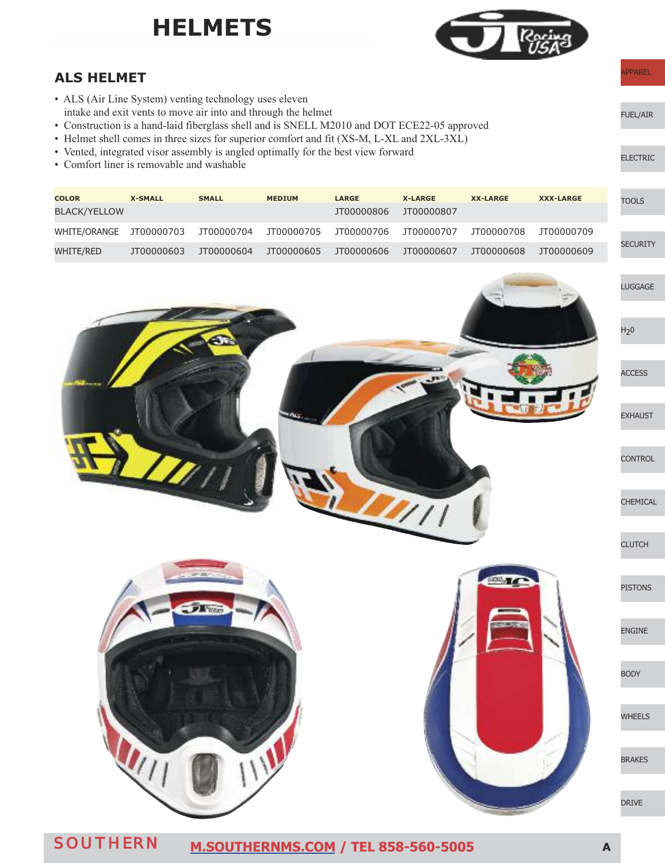### **hELMEtS**



APPAREL

ELECTRIC

FUEL/AIR

#### **ALS hELMEt**

- ALS (Air Line System) venting technology uses eleven intake and exit vents to move air into and through the helmet
- Construction is a hand-laid fiberglass shell and is SNELL M2010 and DOT ECE22-05 approved
- Helmet shell comes in three sizes for superior comfort and fit (XS-M, L-XL and 2XL-3XL)
- Vented, integrated visor assembly is angled optimally for the best view forward
- Comfort liner is removable and washable

| <b>COLOR</b><br>BLACK/YELLOW | <b>X-SMALL</b> | <b>SMALL</b> | <b>MEDIUM</b> | <b>LARGE</b><br>JT00000806 | <b>X-LARGE</b><br>JT00000807 | <b>XX-LARGE</b> | <b>XXX-LARGE</b> | <b>TOOLS</b>    |
|------------------------------|----------------|--------------|---------------|----------------------------|------------------------------|-----------------|------------------|-----------------|
| WHITE/ORANGE JT00000703      |                | JT00000704   | JT00000705    | JT00000706                 | JT00000707                   | JT00000708      | JT00000709       |                 |
| WHITE/RED                    | JT00000603     | JT00000604   | JT00000605    | JT00000606                 | JT00000607                   | JT00000608      | JT00000609       | <b>SECURITY</b> |

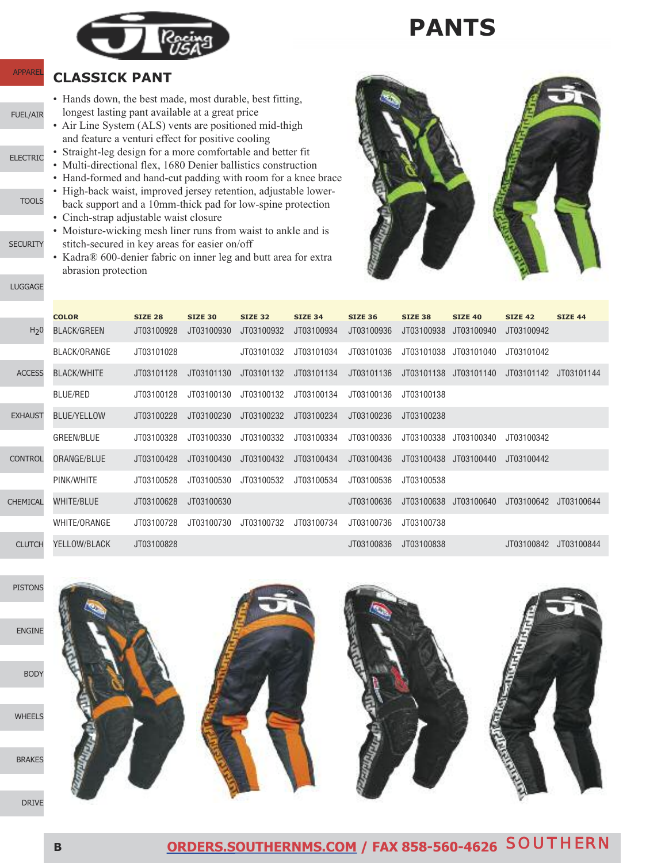

### **pAntS**

#### **CLASSICk pAnt**

**APPARE** 

FUEL/AIR

LUGGAGE

 $C$ 

**SECURITY** 

**TOOLS** 

- Hands down, the best made, most durable, best fitting, longest lasting pant available at a great price
- Air Line System (ALS) vents are positioned mid-thigh and feature a venturi effect for positive cooling
- ELECTRIC • Straight-leg design for a more comfortable and better fit
	- Multi-directional flex, 1680 Denier ballistics construction
	- Hand-formed and hand-cut padding with room for a knee brace
	- High-back waist, improved jersey retention, adjustable lowerback support and a 10mm-thick pad for low-spine protection • Cinch-strap adjustable waist closure
	- Moisture-wicking mesh liner runs from waist to ankle and is stitch-secured in key areas for easier on/off
	- Kadra® 600-denier fabric on inner leg and butt area for extra abrasion protection



|                  | <b>COLOR</b>       | <b>SIZE 28</b> | <b>SIZE 30</b> | <b>SIZE 32</b> | <b>SIZE 34</b> | <b>SIZE 36</b> | <b>SIZE 38</b> | <b>SIZE 40</b>        | <b>SIZE 42</b> | <b>SIZE 44</b> |
|------------------|--------------------|----------------|----------------|----------------|----------------|----------------|----------------|-----------------------|----------------|----------------|
| H <sub>2</sub> 0 | BLACK/GREEN        | JT03100928     | JT03100930     | JT03100932     | JT03100934     | JT03100936     | JT03100938     | JT03100940            | JT03100942     |                |
|                  | BLACK/ORANGE       | JT03101028     |                | JT03101032     | JT03101034     | JT03101036     | JT03101038     | JT03101040            | JT03101042     |                |
| <b>ACCESS</b>    | <b>BLACK/WHITE</b> | JT03101128     | JT03101130     | JT03101132     | JT03101134     | JT03101136     | JT03101138     | JT03101140            | JT03101142     | JT03101144     |
|                  | BLUE/RED           | JT03100128     | JT03100130     | JT03100132     | JT03100134     | JT03100136     | JT03100138     |                       |                |                |
| <b>EXHAUST</b>   | <b>BLUE/YELLOW</b> | JT03100228     | JT03100230     | JT03100232     | JT03100234     | JT03100236     | JT03100238     |                       |                |                |
|                  | GREEN/BLUE         | JT03100328     | JT03100330     | JT03100332     | JT03100334     | JT03100336     | JT03100338     | JT03100340            | JT03100342     |                |
| <b>CONTROL</b>   | ORANGE/BLUE        | JT03100428     | JT03100430     | JT03100432     | JT03100434     | JT03100436     | JT03100438     | JT03100440            | JT03100442     |                |
|                  | PINK/WHITE         | JT03100528     | JT03100530     | JT03100532     | JT03100534     | JT03100536     | JT03100538     |                       |                |                |
| <b>CHEMICAL</b>  | <b>WHITE/BLUE</b>  | JT03100628     | JT03100630     |                |                | JT03100636     |                | JT03100638 JT03100640 | JT03100642     | JT03100644     |
|                  | WHITE/ORANGE       | JT03100728     | JT03100730     | JT03100732     | JT03100734     | JT03100736     | JT03100738     |                       |                |                |
| <b>CLUTCH</b>    | YELLOW/BLACK       | JT03100828     |                |                |                | JT03100836     | JT03100838     |                       | JT03100842     | JT03100844     |

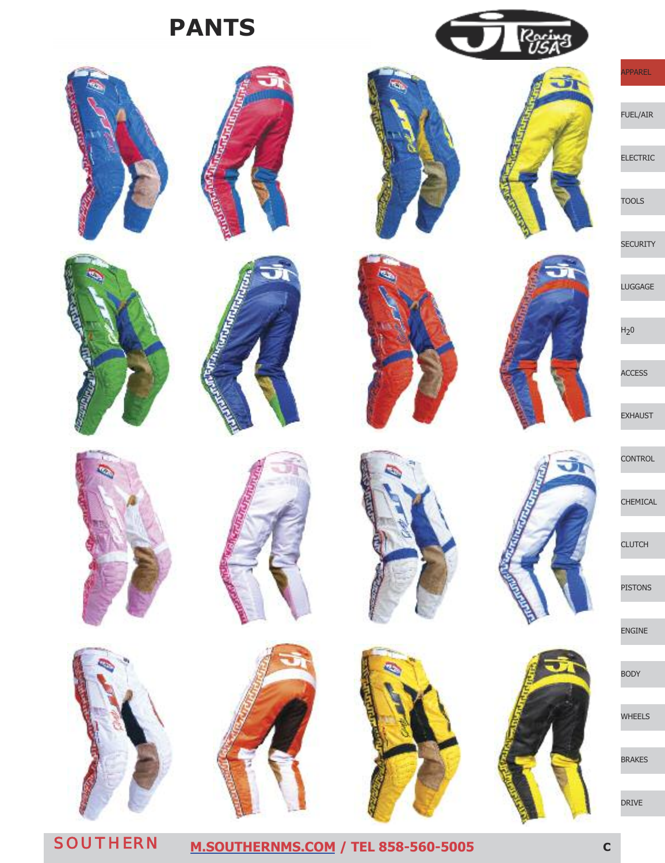**pAntS**





















'n.



 $R_{\hat{U}}$ 

Ŧ





APPAREL FUEL/AIR

ELECTRIC

TOOLS

**SECURITY** 

LUGGAGE

 $H<sub>2</sub>0$ 

ACCESS

EXHAUST

**CONTROL** 

CHEMICAL

**CLUTCH** 

PISTONS

ENGINE

BODY

WHEELS

BRAKES

DRIVE

SOUTHERN **[M.SOUTHERNMS.COM](http://m.southernms.com) / TEL 858-560-5005 <sup>C</sup>**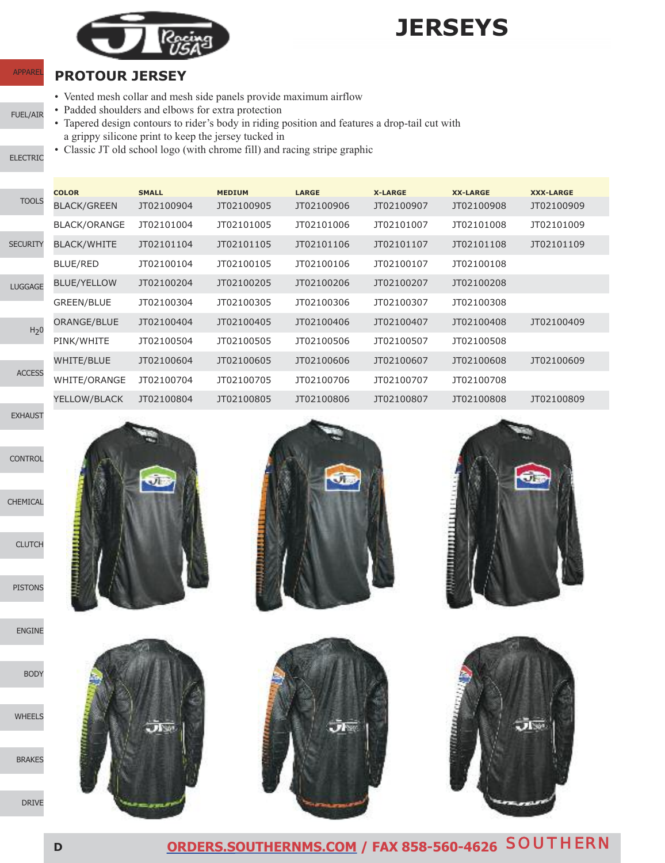

## **jERSEyS**

#### **pROtOUR jERSEy**

- Vented mesh collar and mesh side panels provide maximum airflow
- FUEL/AIR • Padded shoulders and elbows for extra protection
	- Tapered design contours to rider's body in riding position and features a drop-tail cut with a grippy silicone print to keep the jersey tucked in
	- Classic JT old school logo (with chrome fill) and racing stripe graphic

ELECTRIC

**APPARE** 

|                  | <b>COLOR</b>        | <b>SMALL</b> | <b>MEDIUM</b> | <b>LARGE</b> | <b>X-LARGE</b> | <b>XX-LARGE</b> | <b>XXX-LARGE</b> |
|------------------|---------------------|--------------|---------------|--------------|----------------|-----------------|------------------|
| <b>TOOLS</b>     | <b>BLACK/GREEN</b>  | JT02100904   | JT02100905    | JT02100906   | JT02100907     | JT02100908      | JT02100909       |
|                  | BLACK/ORANGE        | JT02101004   | JT02101005    | JT02101006   | JT02101007     | JT02101008      | JT02101009       |
| SECURITY         | <b>BLACK/WHITE</b>  | JT02101104   | JT02101105    | JT02101106   | JT02101107     | JT02101108      | JT02101109       |
|                  | <b>BLUE/RED</b>     | JT02100104   | JT02100105    | JT02100106   | JT02100107     | JT02100108      |                  |
| <b>LUGGAGE</b>   | <b>BLUE/YELLOW</b>  | JT02100204   | JT02100205    | JT02100206   | JT02100207     | JT02100208      |                  |
|                  | <b>GREEN/BLUE</b>   | JT02100304   | JT02100305    | JT02100306   | JT02100307     | JT02100308      |                  |
| H <sub>2</sub> 0 | ORANGE/BLUE         | JT02100404   | JT02100405    | JT02100406   | JT02100407     | JT02100408      | JT02100409       |
|                  | PINK/WHITE          | JT02100504   | JT02100505    | JT02100506   | JT02100507     | JT02100508      |                  |
| <b>ACCESS</b>    | WHITE/BLUE          | JT02100604   | JT02100605    | JT02100606   | JT02100607     | JT02100608      | JT02100609       |
|                  | <b>WHITE/ORANGE</b> | JT02100704   | JT02100705    | JT02100706   | JT02100707     | JT02100708      |                  |
|                  | YELLOW/BLACK        | JT02100804   | JT02100805    | JT02100806   | JT02100807     | JT02100808      | JT02100809       |



**CONTROL** 

CHEMICAL

**CLUTCH** 

PISTONS



BODY

**WHEELS** 

BRAKES











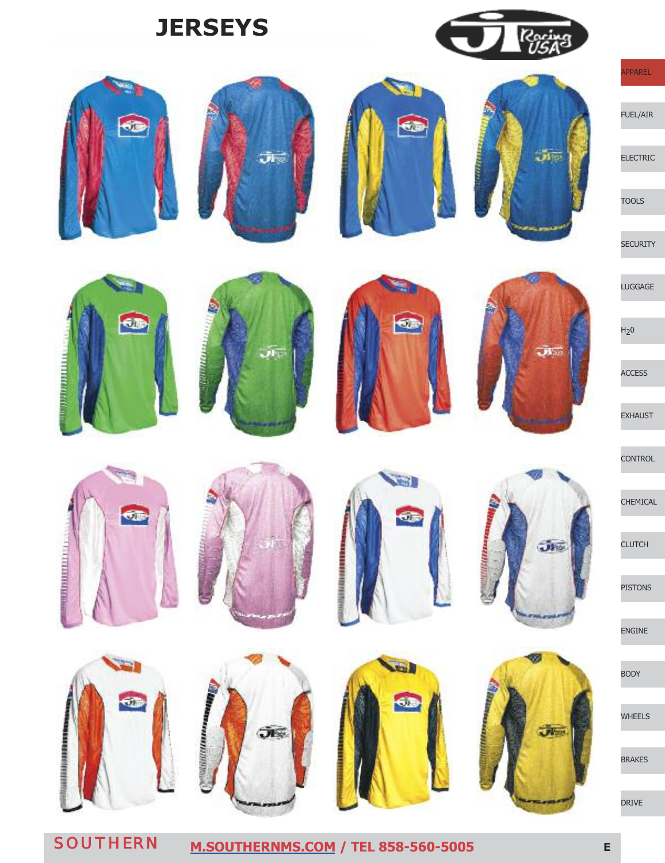# **jERSEyS**





 $\mathbf{r}$ 

 $60$ 

**MARKETTING** 



چار



er.

**SEL** 

Ġ,

**Military** 







 $\overline{\mathbf{v}}$ 

 $J\bar{b}$ 



APPAREL

ELECTRIC

FUEL/AIR

LUGGAGE

 $H<sub>2</sub>0$ 

ACCESS

EXHAUST

**CONTROL** 

CHEMICAL

**CLUTCH** 

PISTONS

ENGINE

BODY

WHEELS

BRAKES

DRIVE

бĒ

*<u><b>ALISTENT</u>* 











**SENSIVER** 

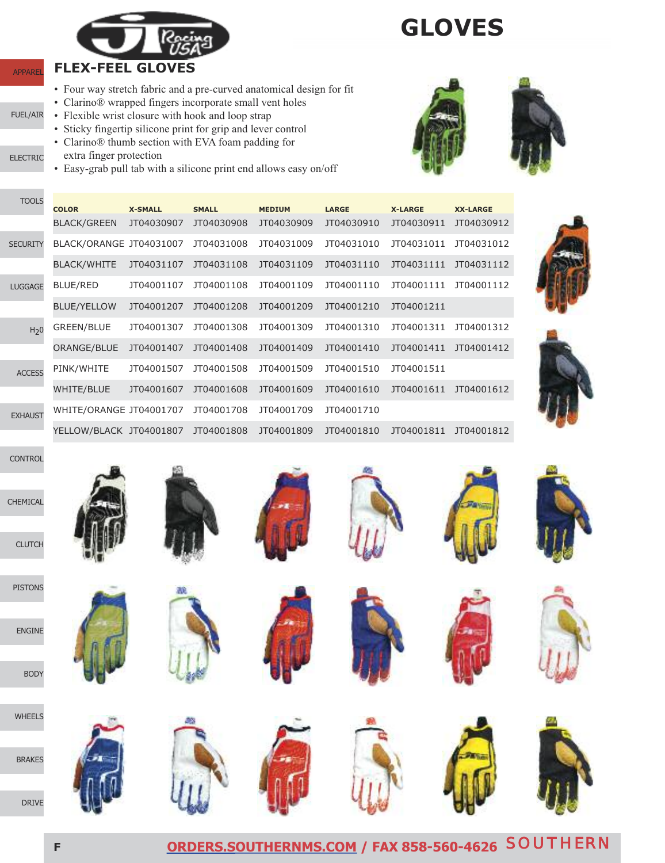

## **GLOvES**

• Four way stretch fabric and a pre-curved anatomical design for fit

- Clarino® wrapped fingers incorporate small vent holes
- Flexible wrist closure with hook and loop strap
- Sticky fingertip silicone print for grip and lever control
- Clarino® thumb section with EVA foam padding for
- ELECTRIC extra finger protection

APPAREL

FUEL/AIR

TOOLS

• Easy-grab pull tab with a silicone print end allows easy on/off



| .                | <b>COLOR</b>            | <b>X-SMALL</b> | <b>SMALL</b> | <b>MEDIUM</b> | <b>LARGE</b> | <b>X-LARGE</b> | <b>XX-LARGE</b> |
|------------------|-------------------------|----------------|--------------|---------------|--------------|----------------|-----------------|
|                  | <b>BLACK/GREEN</b>      | JT04030907     | JT04030908   | JT04030909    | JT04030910   | JT04030911     | JT04030912      |
| <b>SECURITY</b>  | BLACK/ORANGE JT04031007 |                | JT04031008   | JT04031009    | JT04031010   | JT04031011     | JT04031012      |
|                  | <b>BLACK/WHITE</b>      | JT04031107     | JT04031108   | JT04031109    | JT04031110   | JT04031111     | JT04031112      |
| <b>LUGGAGE</b>   | <b>BLUE/RED</b>         | JT04001107     | JT04001108   | JT04001109    | JT04001110   | JT04001111     | JT04001112      |
|                  | <b>BLUE/YELLOW</b>      | JT04001207     | JT04001208   | JT04001209    | JT04001210   | JT04001211     |                 |
| H <sub>2</sub> 0 | <b>GREEN/BLUE</b>       | JT04001307     | JT04001308   | JT04001309    | JT04001310   | JT04001311     | JT04001312      |
|                  | ORANGE/BLUE             | JT04001407     | JT04001408   | JT04001409    | JT04001410   | JT04001411     | JT04001412      |
| <b>ACCESS</b>    | PINK/WHITE              | JT04001507     | JT04001508   | JT04001509    | JT04001510   | JT04001511     |                 |
|                  | <b>WHITE/BLUE</b>       | JT04001607     | JT04001608   | JT04001609    | JT04001610   | JT04001611     | JT04001612      |
| <b>EXHAUST</b>   | WHITE/ORANGE JT04001707 |                | JT04001708   | JT04001709    | JT04001710   |                |                 |
|                  | YELLOW/BLACK JT04001807 |                | JT04001808   | JT04001809    | JT04001810   | JT04001811     | JT04001812      |









**CLUTCH** 

CHEMICAL

**CONTROL** 

WHEELS

BRAKES

DRIVE



















**<sup>f</sup> [ORDERS.SOUTHERNMS.COM](http://orders.southernms.com) / FAX 858-560-4626** SOUTHERN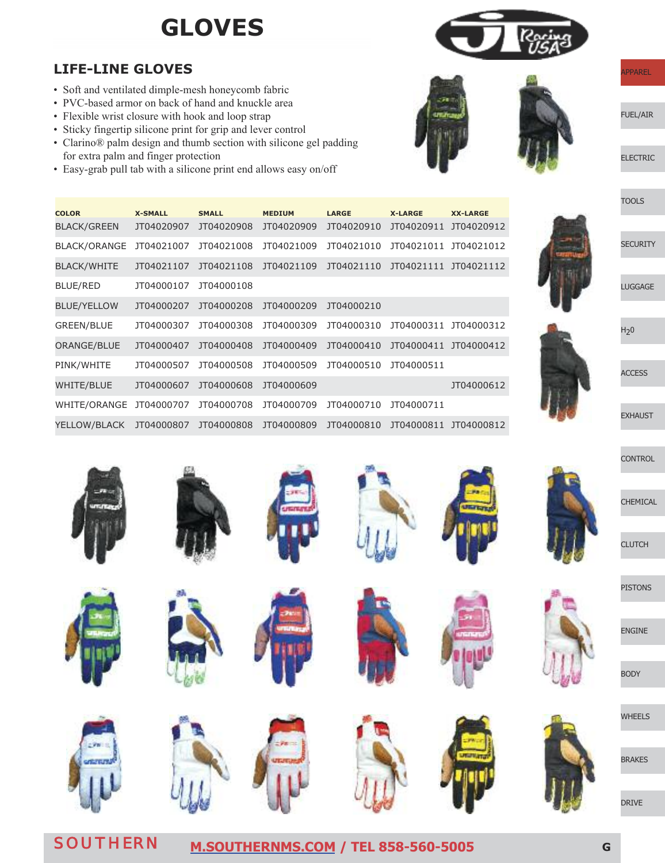### **GLOvES**

#### **LIfE-LInE GLOvES**

- Soft and ventilated dimple-mesh honeycomb fabric
- PVC-based armor on back of hand and knuckle area
- Flexible wrist closure with hook and loop strap

BLUE/RED JT04000107 JT04000108

- Sticky fingertip silicone print for grip and lever control
- Clarino® palm design and thumb section with silicone gel padding for extra palm and finger protection

BLUE/YELLOW JT04000207 JT04000208 JT04000209 JT04000210

**COLOR X-SMALL SMALL MEDIUM LARGE X-LARGE XX-LARGE** BLACK/GREEN JT04020907 JT04020908 JT04020909 JT04020910 JT04020911 JT04020912 BLACK/ORANGE JT04021007 JT04021008 JT04021009 JT04021010 JT04021011 JT04021012 BLACK/WHITE JT04021107 JT04021108 JT04021109 JT04021110 JT04021111 JT04021112

GREEN/BLUE JT04000307 JT04000308 JT04000309 JT04000310 JT04000311 JT04000312 ORANGE/BLUE JT04000407 JT04000408 JT04000409 JT04000410 JT04000411 JT04000412

WHITE/BLUE JT04000607 JT04000608 JT04000609 JT04000612

YELLOW/BLACK JT04000807 JT04000808 JT04000809 JT04000810 JT04000811 JT04000812

PINK/WHITE JT04000507 JT04000508 JT04000509 JT04000510 JT04000511

WHITE/ORANGE JT04000707 JT04000708 JT04000709 JT04000710 JT04000711

• Easy-grab pull tab with a silicone print end allows easy on/off



FUEL/AIR

ELECTRIC







**SECURITY** 



**ACCESS** 

EXHAUST

**CONTROL** 

**CHEMICAL** 



**CLUTCH** 

PISTONS

ENGINE

BODY

WHEELS

BRAKES

DRIVE





SOUTHERN **[M.SOUTHERNMS.COM](http://m.southernms.com) / TEL 858-560-5005 <sup>G</sup>**

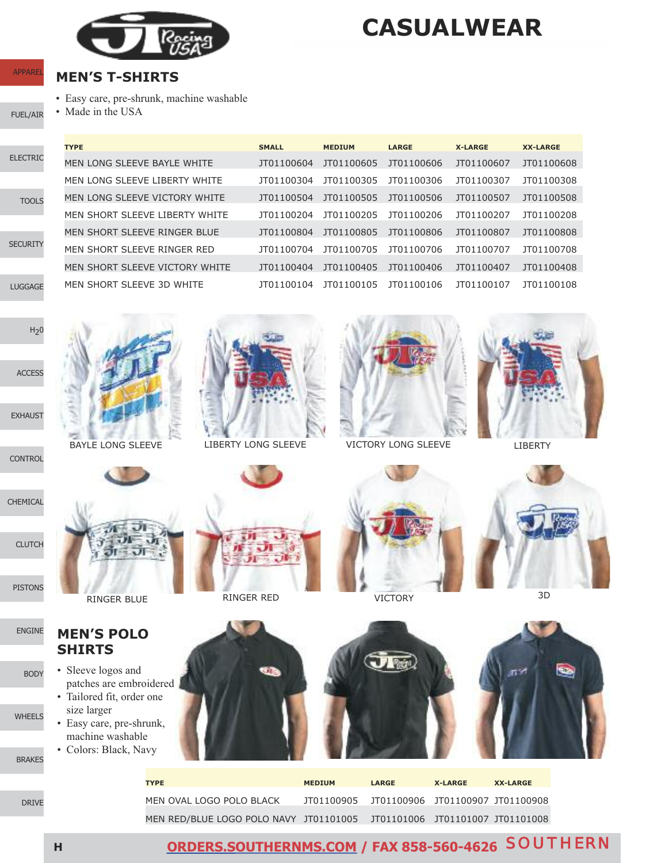

• Easy care, pre-shrunk, machine washable

**MEn'S t-ShIRtS**

• Made in the USA

### **CASUALwEAR**

### **APPARE**

FUEL/AIR

|                 | <b>TYPE</b>                    | <b>SMALL</b>      | <b>MEDIUM</b>     | <b>LARGE</b> | <b>X-LARGE</b> | <b>XX-LARGE</b> |
|-----------------|--------------------------------|-------------------|-------------------|--------------|----------------|-----------------|
| <b>ELECTRIC</b> | MEN LONG SLEEVE BAYLE WHITE    | JT01100604        | JT01100605        | JT01100606   | JT01100607     | JT01100608      |
|                 | MEN LONG SLEEVE LIBERTY WHITE  | JT01100304        | JT01100305        | JT01100306   | JT01100307     | JT01100308      |
| <b>TOOLS</b>    | MEN LONG SLEEVE VICTORY WHITE  | JT01100504        | JT01100505        | JT01100506   | JT01100507     | JT01100508      |
|                 | MEN SHORT SLEEVE LIBERTY WHITE | 1T01100204        | JT01100205        | 1T01100206   | JT01100207     | JT01100208      |
|                 | MEN SHORT SLEEVE RINGER BLUE   | <b>IT01100804</b> | <b>IT01100805</b> | 1T01100806   | JT01100807     | JT01100808      |
| <b>SECURITY</b> | MEN SHORT SLEEVE RINGER RED    | JT01100704        | 1T01100705        | 1T01100706   | JT01100707     | JT01100708      |
|                 | MEN SHORT SLEEVE VICTORY WHITE | JT01100404        | JT01100405        | JT01100406   | JT01100407     | JT01100408      |
| <b>LUGGAGE</b>  | MEN SHORT SLEEVE 3D WHITE      | IT01100104        | JT01100105        | 1T01100106   | JT01100107     | JT01100108      |



BAYLE LONG SLEEVE



LIBERTY LONG SLEEVE



VICTORY LONG SLEEVE LIBERTY

VICTORY 3D





RINGER BLUE RINGER RED

#### **MEn'S pOLO ShIRtS**

- Sleeve logos and patches are embroidered
- Tailored fit, order one size larger
- Easy care, pre-shrunk, machine washable • Colors: Black, Navy
- BRAKES

WHEELS





| <b>TYPE</b>                                                             | <b>MEDIUM</b>                               | <b>LARGE</b> | <b>X-LARGE</b> | <b>XX-LARGE</b> |
|-------------------------------------------------------------------------|---------------------------------------------|--------------|----------------|-----------------|
|                                                                         |                                             |              |                |                 |
| MEN OVAL LOGO POLO BLACK                                                | JT01100905 JT01100906 JT01100907 JT01100908 |              |                |                 |
|                                                                         |                                             |              |                |                 |
| MEN RED/BLUE LOGO POLO NAVY JT01101005 JT01101006 JT01101007 JT01101008 |                                             |              |                |                 |

ENGINE

BODY

**CONTROL** 

**<sup>h</sup> [ORDERS.SOUTHERNMS.COM](http://orders.southernms.com) / FAX 858-560-4626** SOUTHERN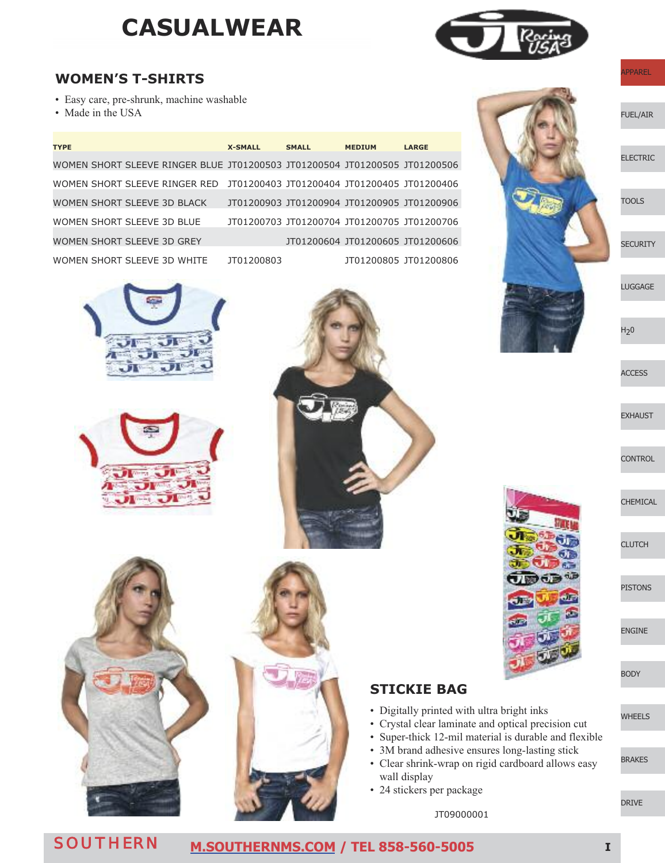### **CASUALwEAR**



#### **wOMEn'S t-ShIRtS**

- Easy care, pre-shrunk, machine washable
- Made in the USA

| <b>TYPE</b>                                                                | <b>X-SMALL</b> | <b>SMALL</b>                                | <b>MEDIUM</b>                    | <b>LARGE</b>          |
|----------------------------------------------------------------------------|----------------|---------------------------------------------|----------------------------------|-----------------------|
| WOMEN SHORT SLEEVE RINGER BLUE JT01200503 JT01200504 JT01200505 JT01200506 |                |                                             |                                  |                       |
| WOMEN SHORT SLEEVE RINGER RED JT01200403 JT01200404 JT01200405 JT01200406  |                |                                             |                                  |                       |
| WOMEN SHORT SLEEVE 3D BLACK                                                |                | JT01200903 JT01200904 JT01200905 JT01200906 |                                  |                       |
| WOMEN SHORT SLEEVE 3D BLUE                                                 |                | JT01200703 JT01200704 JT01200705 JT01200706 |                                  |                       |
| WOMEN SHORT SLEEVE 3D GREY                                                 |                |                                             | JT01200604 JT01200605 JT01200606 |                       |
| WOMEN SHORT SLEEVE 3D WHITE                                                | 1T01200803     |                                             |                                  | JT01200805 JT01200806 |









#### **StICkIE BAG**

- Digitally printed with ultra bright inks
- Crystal clear laminate and optical precision cut
- Super-thick 12-mil material is durable and flexible
- 3M brand adhesive ensures long-lasting stick
- Clear shrink-wrap on rigid cardboard allows easy wall display
- 24 stickers per package

FUEL/AIR

ELECTRIC

TOOLS

**SECURITY** 

LUGGAGE

 $H<sub>2</sub>0$ 

**ACCESS** 

EXHAUST

**CONTROL** 

CHEMICAL

**CLUTCH** 

PISTONS

ENGINE

BODY

WHEELS

BRAKES

DRIVE

SOUTHERN **[M.SOUTHERNMS.COM](http://m.southernms.com) / TEL 858-560-5005 <sup>I</sup>**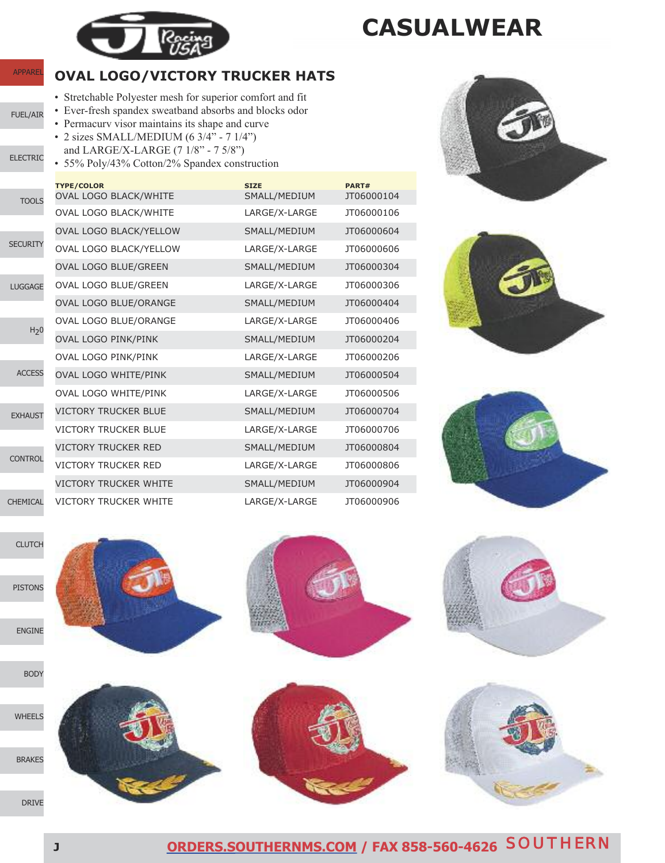

**APPARE** 

FUEL/AIR

ELECTRIC

**CLUTCH** 

PISTONS

ENGINE

### **CASUALwEAR**

#### **OvAL LOGO/vICtORy tRUCkER hAtS**

- Stretchable Polyester mesh for superior comfort and fit
- Ever-fresh spandex sweatband absorbs and blocks odor
- Permacurv visor maintains its shape and curve • 2 sizes SMALL/MEDIUM (6 3/4" - 7 1/4") and LARGE/X-LARGE (7 1/8" - 7 5/8")
- 55% Poly/43% Cotton/2% Spandex construction



|                  | <b>TYPE/COLOR</b>            | <b>SIZE</b>   | PART#      |
|------------------|------------------------------|---------------|------------|
| <b>TOOLS</b>     | <b>OVAL LOGO BLACK/WHITE</b> | SMALL/MEDIUM  | JT06000104 |
|                  | <b>OVAL LOGO BLACK/WHITE</b> | LARGE/X-LARGE | JT06000106 |
|                  | OVAL LOGO BLACK/YELLOW       | SMALL/MEDIUM  | JT06000604 |
| <b>SECURITY</b>  | OVAL LOGO BLACK/YELLOW       | LARGE/X-LARGE | JT06000606 |
|                  | OVAL LOGO BLUE/GREEN         | SMALL/MEDIUM  | JT06000304 |
| LUGGAGE          | OVAL LOGO BLUE/GREEN         | LARGE/X-LARGE | JT06000306 |
|                  | OVAL LOGO BLUE/ORANGE        | SMALL/MEDIUM  | JT06000404 |
| H <sub>2</sub> 0 | OVAL LOGO BLUE/ORANGE        | LARGE/X-LARGE | JT06000406 |
|                  | <b>OVAL LOGO PINK/PINK</b>   | SMALL/MEDIUM  | JT06000204 |
|                  | OVAL LOGO PINK/PINK          | LARGE/X-LARGE | JT06000206 |
| <b>ACCESS</b>    | OVAL LOGO WHITE/PINK         | SMALL/MEDIUM  | JT06000504 |
|                  | OVAL LOGO WHITE/PINK         | LARGE/X-LARGE | JT06000506 |
| <b>EXHAUST</b>   | <b>VICTORY TRUCKER BLUE</b>  | SMALL/MEDIUM  | JT06000704 |
|                  | <b>VICTORY TRUCKER BLUE</b>  | LARGE/X-LARGE | JT06000706 |
|                  | <b>VICTORY TRUCKER RED</b>   | SMALL/MEDIUM  | JT06000804 |
| <b>CONTROL</b>   | VICTORY TRUCKER RED          | LARGE/X-LARGE | JT06000806 |
|                  | <b>VICTORY TRUCKER WHITE</b> | SMALL/MEDIUM  | JT06000904 |
| <b>CHEMICAL</b>  | <b>VICTORY TRUCKER WHITE</b> | LARGE/X-LARGE | JT06000906 |











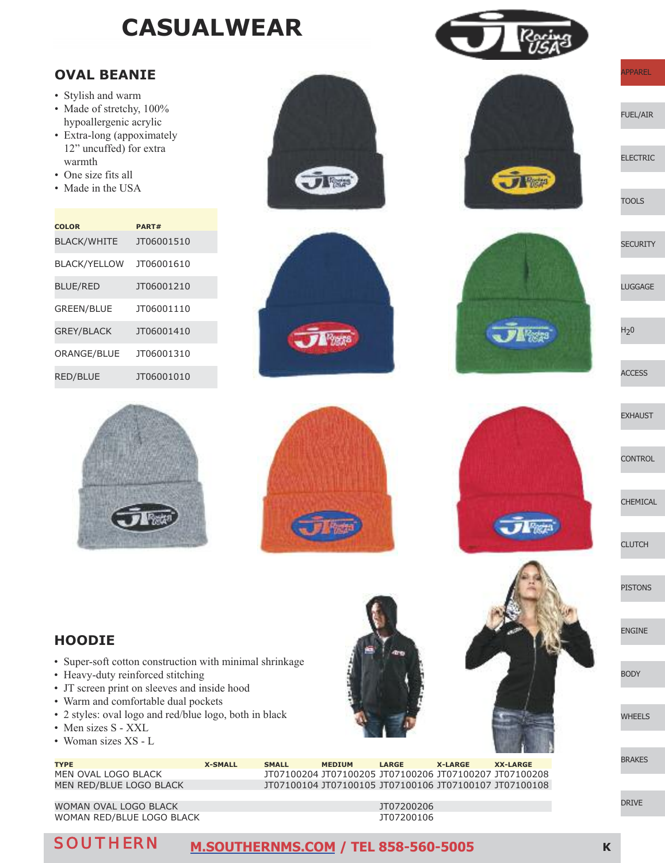### **CASUALwEAR**

#### **OvAL BEAnIE**

- Stylish and warm
- Made of stretchy,  $100\%$ hypoallergenic acrylic
- Extra-long (appoximately 12" uncuffed) for extra warmth
- One size fits all
- Made in the USA

| <b>COLOR</b>        | PART#             |
|---------------------|-------------------|
| <b>BLACK/WHITE</b>  | JT06001510        |
| <b>BLACK/YELLOW</b> | JT06001610        |
| <b>BLUE/RED</b>     | JT06001210        |
| <b>GREEN/BLUE</b>   | <b>IT06001110</b> |
| <b>GREY/BLACK</b>   | JT06001410        |
| ORANGE/BLUE         | JT06001310        |
| <b>RED/BLUE</b>     | JT06001010        |



 $\overline{J}$   $\overline{V}$   $\overline{V}$   $\overline{r}$   $\overline{r}$   $\overline{s}$ 



 $\overline{J}$  Figure

 $74%23$ 

FUEL/AIR

ELECTRIC

**TOOLS** 

**SECURITY** 

LUGGAGE

 $H<sub>2</sub>0$ 

ACCESS



**CONTROL** 

CHEMICAL

**CLUTCH** 

PISTONS

ENGINE

BODY

WHEELS

BRAKES

DRIVE

**hOODIE**

- Super-soft cotton construction with minimal shrinkage
- Heavy-duty reinforced stitching
- JT screen print on sleeves and inside hood
- Warm and comfortable dual pockets
- 2 styles: oval logo and red/blue logo, both in black
- Men sizes S XXL
- Woman sizes XS L

**typE X-SMALL SMALL MEDIUM LARGE X-LARGE XX-LARGE** MEN OVAL LOGO BLACK JT07100204 JT07100205 JT07100206 JT07100207 JT07100208 MEN RED/BLUE LOGO BLACK JT07100104 JT07100105 JT07100106 JT07100107 JT07100108

WOMAN OVAL LOGO BLACK **JT07200206** WOMAN RED/BLUE LOGO BLACK **JT07200106** 

#### SOUTHERN **[M.SOUTHERNMS.COM](http://m.southernms.com) / TEL 858-560-5005 <sup>k</sup>**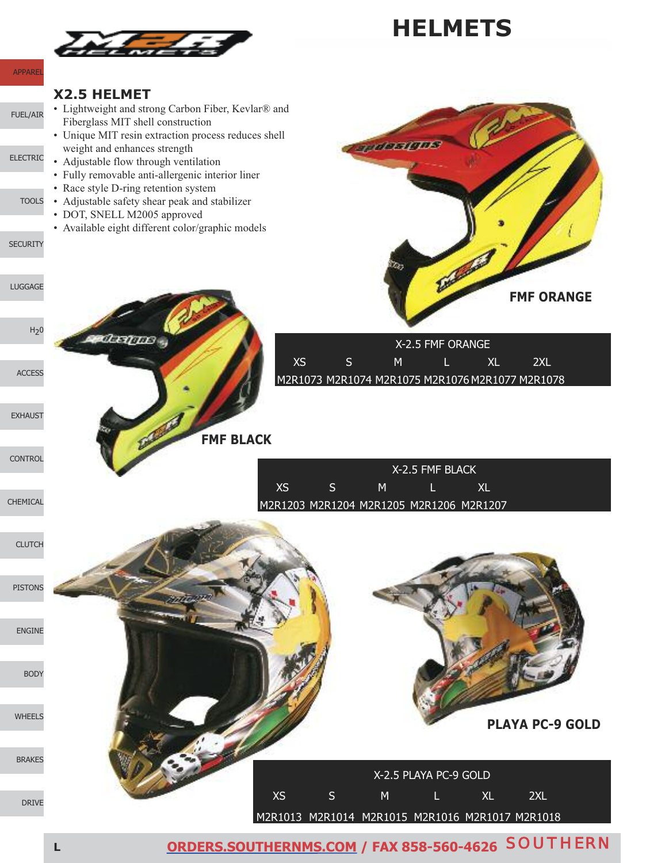

**<sup>L</sup> [ORDERS.SOUTHERNMS.COM](http://orders.southernms.com) / FAX 858-560-4626** SOUTHERN